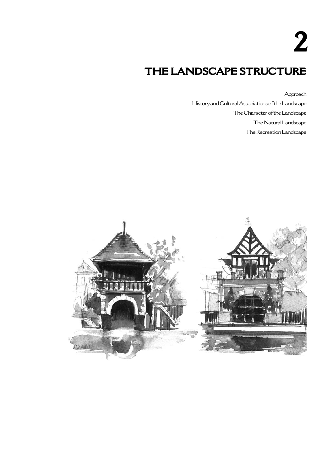**2**

## **THE LANDSCAPE STRUCTURE**

Approach

History and Cultural Associations of the Landscape The Character of the Landscape The Natural Landscape The Recreation Landscape

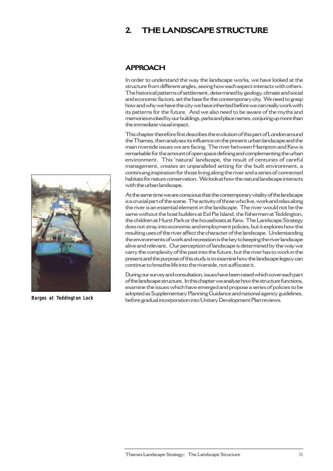## **2. THE LANDSCAPE STRUCTURE**

## **APPROACH**

In order to understand the way the landscape works, we have looked at the structure from different angles, seeing how each aspect interacts with others. The historical patterns of settlement, determined by geology, climate and social and economic factors, set the base for the contemporary city. We need to grasp how and why we have the city we have inherited before we can really work with its patterns for the future. And we also need to be aware of the myths and memories evoked by our buildings, parks and place names, conjuring up more than the immediate visual impact.

This chapter therefore first describes the evolution of this part of London around the Thames, then analyses its influence on the present urban landscape and the main riverside issues we are facing. The river between Hampton and Kew is remarkable for the amount of open space defining and complementing the urban environment. This 'natural' landscape, the result of centuries of careful management, creates an unparalleled setting for the built environment, a continuing inspiration for those living along the river and a series of connected habitats for nature conservation. We look at how the natural landscape interacts with the urban landscape.

At the same time we are conscious that the contemporary vitality of the landscape is a crucial part of the scene. The activity of those who live, work and relax along the river is an essential element in the landscape. The river would not be the same without the boat builders at Eel Pie Island, the fishermen at Teddington, the children at Hurst Park or the houseboats at Kew. The Landscape Strategy does not stray into economic and employment policies, but it explores how the resulting uses of the river affect the character of the landscape. Understanding the environments of work and recreation is the key to keeping the river landscape alive and relevant. Our perception of landscape is determined by the way we carry the complexity of the past into the future, but the river has to work in the present and the purpose of this study is to examine how the landscape legacy can continue to breathe life into the riverside, not suffocate it.

During our survey and consultation, issues have been raised which cover each part of the landscape structure. In this chapter we analyse how the structure functions, examine the issues which have emerged and propose a series of policies to be adopted as Supplementary Planning Guidance and national agency guidelines, **Barges at Teddington Lock** before gradual incorporation into Unitary Development Plan reviews.